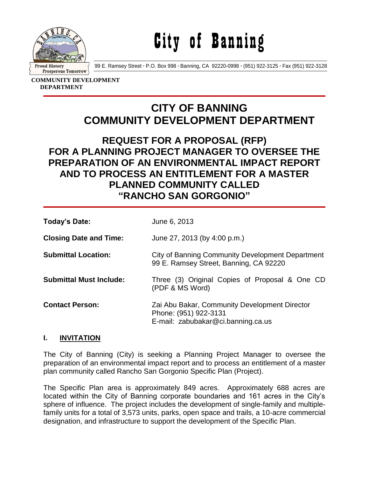

City of Banning

99 E. Ramsey Street **·** P.O. Box 998 **·** Banning, CA 92220-0998 **·** (951) 922-3125 **·** Fax (951) 922-3128

**COMMUNITY DEVELOPMENT DEPARTMENT**

# **CITY OF BANNING COMMUNITY DEVELOPMENT DEPARTMENT**

# **REQUEST FOR A PROPOSAL (RFP) FOR A PLANNING PROJECT MANAGER TO OVERSEE THE PREPARATION OF AN ENVIRONMENTAL IMPACT REPORT AND TO PROCESS AN ENTITLEMENT FOR A MASTER PLANNED COMMUNITY CALLED "RANCHO SAN GORGONIO"**

| Today's Date:                  | June 6, 2013                                                                                                 |
|--------------------------------|--------------------------------------------------------------------------------------------------------------|
| <b>Closing Date and Time:</b>  | June 27, 2013 (by 4:00 p.m.)                                                                                 |
| <b>Submittal Location:</b>     | City of Banning Community Development Department<br>99 E. Ramsey Street, Banning, CA 92220                   |
| <b>Submittal Must Include:</b> | Three (3) Original Copies of Proposal & One CD<br>(PDF & MS Word)                                            |
| <b>Contact Person:</b>         | Zai Abu Bakar, Community Development Director<br>Phone: (951) 922-3131<br>E-mail: zabubakar@ci.banning.ca.us |

# **I. INVITATION**

The City of Banning (City) is seeking a Planning Project Manager to oversee the preparation of an environmental impact report and to process an entitlement of a master plan community called Rancho San Gorgonio Specific Plan (Project).

The Specific Plan area is approximately 849 acres. Approximately 688 acres are located within the City of Banning corporate boundaries and 161 acres in the City's sphere of influence. The project includes the development of single-family and multiplefamily units for a total of 3,573 units, parks, open space and trails, a 10-acre commercial designation, and infrastructure to support the development of the Specific Plan.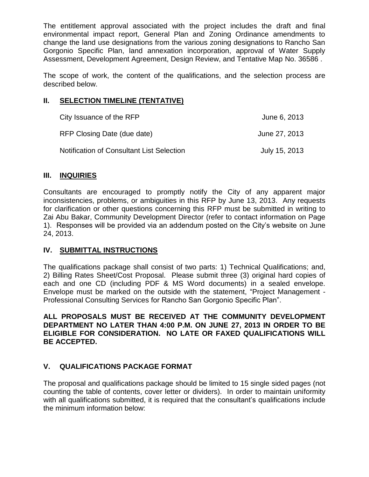The entitlement approval associated with the project includes the draft and final environmental impact report, General Plan and Zoning Ordinance amendments to change the land use designations from the various zoning designations to Rancho San Gorgonio Specific Plan, land annexation incorporation, approval of Water Supply Assessment, Development Agreement, Design Review, and Tentative Map No. 36586 .

The scope of work, the content of the qualifications, and the selection process are described below.

### **II. SELECTION TIMELINE (TENTATIVE)**

| City Issuance of the RFP                         | June 6, 2013  |
|--------------------------------------------------|---------------|
| RFP Closing Date (due date)                      | June 27, 2013 |
| <b>Notification of Consultant List Selection</b> | July 15, 2013 |

#### **III. INQUIRIES**

Consultants are encouraged to promptly notify the City of any apparent major inconsistencies, problems, or ambiguities in this RFP by June 13, 2013. Any requests for clarification or other questions concerning this RFP must be submitted in writing to Zai Abu Bakar, Community Development Director (refer to contact information on Page 1). Responses will be provided via an addendum posted on the City's website on June 24, 2013.

#### **IV. SUBMITTAL INSTRUCTIONS**

The qualifications package shall consist of two parts: 1) Technical Qualifications; and, 2) Billing Rates Sheet/Cost Proposal. Please submit three (3) original hard copies of each and one CD (including PDF & MS Word documents) in a sealed envelope. Envelope must be marked on the outside with the statement, "Project Management - Professional Consulting Services for Rancho San Gorgonio Specific Plan".

**ALL PROPOSALS MUST BE RECEIVED AT THE COMMUNITY DEVELOPMENT DEPARTMENT NO LATER THAN 4:00 P.M. ON JUNE 27, 2013 IN ORDER TO BE ELIGIBLE FOR CONSIDERATION. NO LATE OR FAXED QUALIFICATIONS WILL BE ACCEPTED.**

# **V. QUALIFICATIONS PACKAGE FORMAT**

The proposal and qualifications package should be limited to 15 single sided pages (not counting the table of contents, cover letter or dividers). In order to maintain uniformity with all qualifications submitted, it is required that the consultant's qualifications include the minimum information below: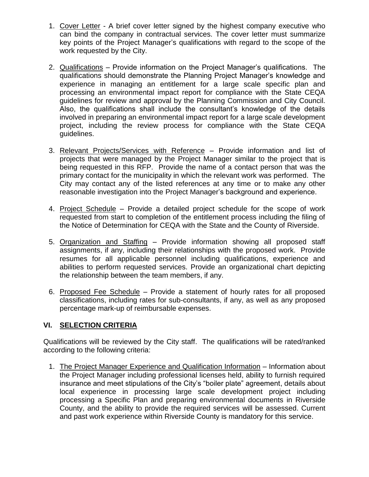- 1. Cover Letter A brief cover letter signed by the highest company executive who can bind the company in contractual services. The cover letter must summarize key points of the Project Manager's qualifications with regard to the scope of the work requested by the City.
- 2. Qualifications Provide information on the Project Manager's qualifications. The qualifications should demonstrate the Planning Project Manager's knowledge and experience in managing an entitlement for a large scale specific plan and processing an environmental impact report for compliance with the State CEQA guidelines for review and approval by the Planning Commission and City Council. Also, the qualifications shall include the consultant's knowledge of the details involved in preparing an environmental impact report for a large scale development project, including the review process for compliance with the State CEQA guidelines.
- 3. Relevant Projects/Services with Reference Provide information and list of projects that were managed by the Project Manager similar to the project that is being requested in this RFP. Provide the name of a contact person that was the primary contact for the municipality in which the relevant work was performed. The City may contact any of the listed references at any time or to make any other reasonable investigation into the Project Manager's background and experience.
- 4. Project Schedule Provide a detailed project schedule for the scope of work requested from start to completion of the entitlement process including the filing of the Notice of Determination for CEQA with the State and the County of Riverside.
- 5. Organization and Staffing Provide information showing all proposed staff assignments, if any, including their relationships with the proposed work. Provide resumes for all applicable personnel including qualifications, experience and abilities to perform requested services. Provide an organizational chart depicting the relationship between the team members, if any.
- 6. Proposed Fee Schedule Provide a statement of hourly rates for all proposed classifications, including rates for sub-consultants, if any, as well as any proposed percentage mark-up of reimbursable expenses.

# **VI. SELECTION CRITERIA**

Qualifications will be reviewed by the City staff. The qualifications will be rated/ranked according to the following criteria:

1. The Project Manager Experience and Qualification Information – Information about the Project Manager including professional licenses held, ability to furnish required insurance and meet stipulations of the City's "boiler plate" agreement, details about local experience in processing large scale development project including processing a Specific Plan and preparing environmental documents in Riverside County, and the ability to provide the required services will be assessed. Current and past work experience within Riverside County is mandatory for this service.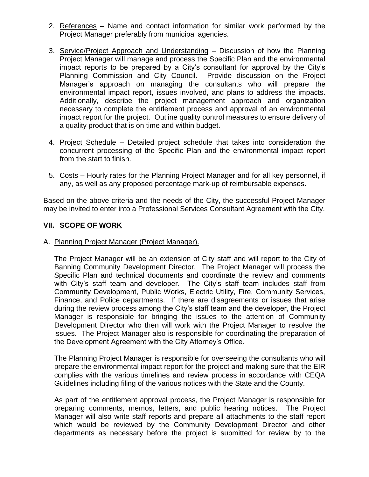- 2. References Name and contact information for similar work performed by the Project Manager preferably from municipal agencies.
- 3. Service/Project Approach and Understanding Discussion of how the Planning Project Manager will manage and process the Specific Plan and the environmental impact reports to be prepared by a City's consultant for approval by the City's Planning Commission and City Council. Provide discussion on the Project Manager's approach on managing the consultants who will prepare the environmental impact report, issues involved, and plans to address the impacts. Additionally, describe the project management approach and organization necessary to complete the entitlement process and approval of an environmental impact report for the project. Outline quality control measures to ensure delivery of a quality product that is on time and within budget.
- 4. Project Schedule Detailed project schedule that takes into consideration the concurrent processing of the Specific Plan and the environmental impact report from the start to finish.
- 5. Costs Hourly rates for the Planning Project Manager and for all key personnel, if any, as well as any proposed percentage mark-up of reimbursable expenses.

Based on the above criteria and the needs of the City, the successful Project Manager may be invited to enter into a Professional Services Consultant Agreement with the City.

#### **VII. SCOPE OF WORK**

#### A. Planning Project Manager (Project Manager).

The Project Manager will be an extension of City staff and will report to the City of Banning Community Development Director. The Project Manager will process the Specific Plan and technical documents and coordinate the review and comments with City's staff team and developer. The City's staff team includes staff from Community Development, Public Works, Electric Utility, Fire, Community Services, Finance, and Police departments. If there are disagreements or issues that arise during the review process among the City's staff team and the developer, the Project Manager is responsible for bringing the issues to the attention of Community Development Director who then will work with the Project Manager to resolve the issues. The Project Manager also is responsible for coordinating the preparation of the Development Agreement with the City Attorney's Office.

The Planning Project Manager is responsible for overseeing the consultants who will prepare the environmental impact report for the project and making sure that the EIR complies with the various timelines and review process in accordance with CEQA Guidelines including filing of the various notices with the State and the County.

As part of the entitlement approval process, the Project Manager is responsible for preparing comments, memos, letters, and public hearing notices. The Project Manager will also write staff reports and prepare all attachments to the staff report which would be reviewed by the Community Development Director and other departments as necessary before the project is submitted for review by to the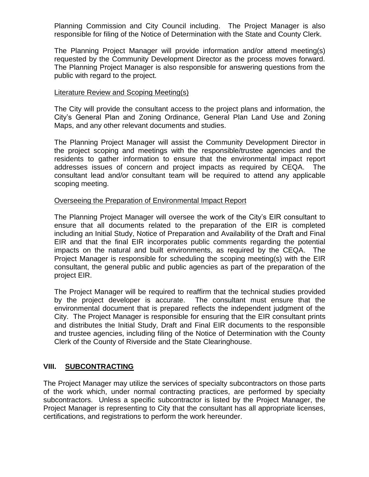Planning Commission and City Council including. The Project Manager is also responsible for filing of the Notice of Determination with the State and County Clerk.

The Planning Project Manager will provide information and/or attend meeting(s) requested by the Community Development Director as the process moves forward. The Planning Project Manager is also responsible for answering questions from the public with regard to the project.

#### Literature Review and Scoping Meeting(s)

The City will provide the consultant access to the project plans and information, the City's General Plan and Zoning Ordinance, General Plan Land Use and Zoning Maps, and any other relevant documents and studies.

The Planning Project Manager will assist the Community Development Director in the project scoping and meetings with the responsible/trustee agencies and the residents to gather information to ensure that the environmental impact report addresses issues of concern and project impacts as required by CEQA. The consultant lead and/or consultant team will be required to attend any applicable scoping meeting.

#### Overseeing the Preparation of Environmental Impact Report

The Planning Project Manager will oversee the work of the City's EIR consultant to ensure that all documents related to the preparation of the EIR is completed including an Initial Study, Notice of Preparation and Availability of the Draft and Final EIR and that the final EIR incorporates public comments regarding the potential impacts on the natural and built environments, as required by the CEQA. The Project Manager is responsible for scheduling the scoping meeting(s) with the EIR consultant, the general public and public agencies as part of the preparation of the project EIR.

The Project Manager will be required to reaffirm that the technical studies provided by the project developer is accurate. The consultant must ensure that the environmental document that is prepared reflects the independent judgment of the City. The Project Manager is responsible for ensuring that the EIR consultant prints and distributes the Initial Study, Draft and Final EIR documents to the responsible and trustee agencies, including filing of the Notice of Determination with the County Clerk of the County of Riverside and the State Clearinghouse.

#### **VIII. SUBCONTRACTING**

The Project Manager may utilize the services of specialty subcontractors on those parts of the work which, under normal contracting practices, are performed by specialty subcontractors. Unless a specific subcontractor is listed by the Project Manager, the Project Manager is representing to City that the consultant has all appropriate licenses, certifications, and registrations to perform the work hereunder.